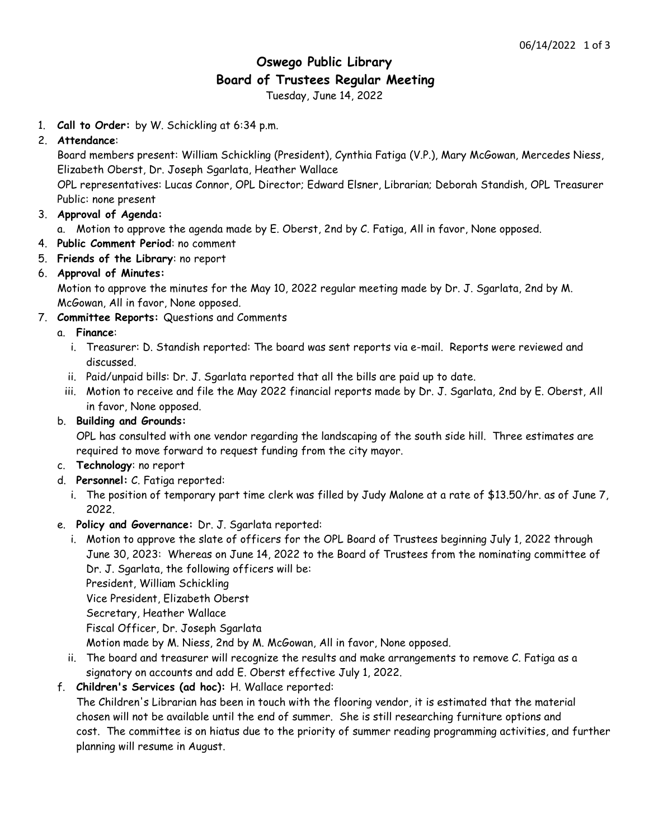# **Oswego Public Library Board of Trustees Regular Meeting**

Tuesday, June 14, 2022

1. **Call to Order:** by W. Schickling at 6:34 p.m.

## 2. **Attendance**:

Board members present: William Schickling (President), Cynthia Fatiga (V.P.), Mary McGowan, Mercedes Niess, Elizabeth Oberst, Dr. Joseph Sgarlata, Heather Wallace

OPL representatives: Lucas Connor, OPL Director; Edward Elsner, Librarian; Deborah Standish, OPL Treasurer Public: none present

- 3. **Approval of Agenda:**
	- a. Motion to approve the agenda made by E. Oberst, 2nd by C. Fatiga, All in favor, None opposed.
- 4. **Public Comment Period**: no comment
- 5. **Friends of the Library**: no report

## 6. **Approval of Minutes:**

Motion to approve the minutes for the May 10, 2022 regular meeting made by Dr. J. Sgarlata, 2nd by M. McGowan, All in favor, None opposed.

7. **Committee Reports:** Questions and Comments

## a. **Finance**:

- i. Treasurer: D. Standish reported: The board was sent reports via e-mail. Reports were reviewed and discussed.
- ii. Paid/unpaid bills: Dr. J. Sgarlata reported that all the bills are paid up to date.
- iii. Motion to receive and file the May 2022 financial reports made by Dr. J. Sgarlata, 2nd by E. Oberst, All in favor, None opposed.
- b. **Building and Grounds:**

OPL has consulted with one vendor regarding the landscaping of the south side hill. Three estimates are required to move forward to request funding from the city mayor.

- c. **Technology**: no report
- d. **Personnel:** C. Fatiga reported:
	- i. The position of temporary part time clerk was filled by Judy Malone at a rate of \$13.50/hr. as of June 7, 2022.
- e. **Policy and Governance:** Dr. J. Sgarlata reported:
	- i. Motion to approve the slate of officers for the OPL Board of Trustees beginning July 1, 2022 through June 30, 2023: Whereas on June 14, 2022 to the Board of Trustees from the nominating committee of Dr. J. Sgarlata, the following officers will be:

President, William Schickling Vice President, Elizabeth Oberst

Secretary, Heather Wallace

Fiscal Officer, Dr. Joseph Sgarlata

Motion made by M. Niess, 2nd by M. McGowan, All in favor, None opposed.

- ii. The board and treasurer will recognize the results and make arrangements to remove C. Fatiga as a signatory on accounts and add E. Oberst effective July 1, 2022.
- f. **Children's Services (ad hoc):** H. Wallace reported:

The Children's Librarian has been in touch with the flooring vendor, it is estimated that the material chosen will not be available until the end of summer. She is still researching furniture options and cost. The committee is on hiatus due to the priority of summer reading programming activities, and further planning will resume in August.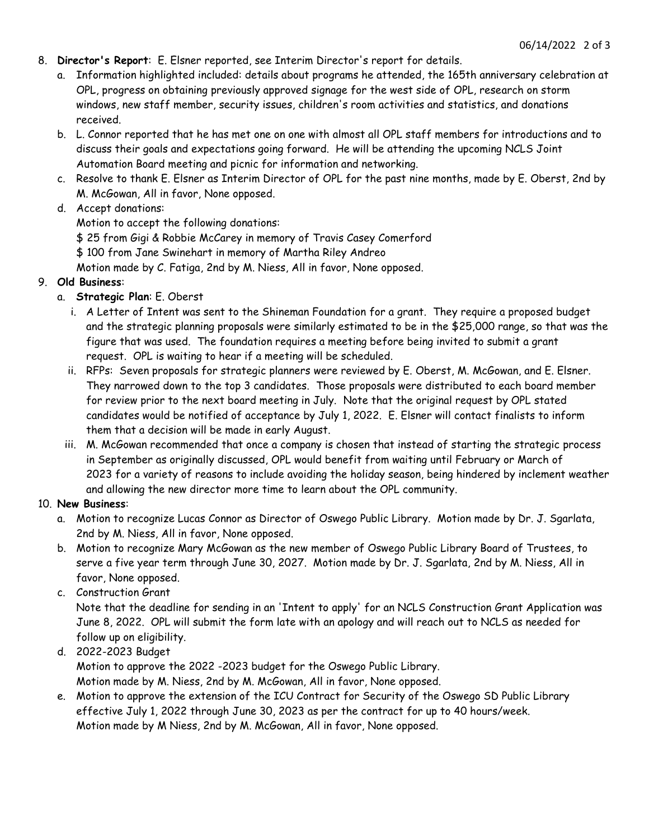- 8. **Director's Report**: E. Elsner reported, see Interim Director's report for details.
	- a. Information highlighted included: details about programs he attended, the 165th anniversary celebration at OPL, progress on obtaining previously approved signage for the west side of OPL, research on storm windows, new staff member, security issues, children's room activities and statistics, and donations received.
	- b. L. Connor reported that he has met one on one with almost all OPL staff members for introductions and to discuss their goals and expectations going forward. He will be attending the upcoming NCLS Joint Automation Board meeting and picnic for information and networking.
	- c. Resolve to thank E. Elsner as Interim Director of OPL for the past nine months, made by E. Oberst, 2nd by M. McGowan, All in favor, None opposed.

## d. Accept donations:

- Motion to accept the following donations:
- \$ 25 from Gigi & Robbie McCarey in memory of Travis Casey Comerford
- \$ 100 from Jane Swinehart in memory of Martha Riley Andreo
- Motion made by C. Fatiga, 2nd by M. Niess, All in favor, None opposed.

## 9. **Old Business**:

- a. **Strategic Plan**: E. Oberst
	- i. A Letter of Intent was sent to the Shineman Foundation for a grant. They require a proposed budget and the strategic planning proposals were similarly estimated to be in the \$25,000 range, so that was the figure that was used. The foundation requires a meeting before being invited to submit a grant request. OPL is waiting to hear if a meeting will be scheduled.
	- ii. RFPs: Seven proposals for strategic planners were reviewed by E. Oberst, M. McGowan, and E. Elsner. They narrowed down to the top 3 candidates. Those proposals were distributed to each board member for review prior to the next board meeting in July. Note that the original request by OPL stated candidates would be notified of acceptance by July 1, 2022. E. Elsner will contact finalists to inform them that a decision will be made in early August.
	- iii. M. McGowan recommended that once a company is chosen that instead of starting the strategic process in September as originally discussed, OPL would benefit from waiting until February or March of 2023 for a variety of reasons to include avoiding the holiday season, being hindered by inclement weather and allowing the new director more time to learn about the OPL community.

#### 10. **New Business**:

- a. Motion to recognize Lucas Connor as Director of Oswego Public Library. Motion made by Dr. J. Sgarlata, 2nd by M. Niess, All in favor, None opposed.
- b. Motion to recognize Mary McGowan as the new member of Oswego Public Library Board of Trustees, to serve a five year term through June 30, 2027. Motion made by Dr. J. Sgarlata, 2nd by M. Niess, All in favor, None opposed.

#### c. Construction Grant

Note that the deadline for sending in an 'Intent to apply' for an NCLS Construction Grant Application was June 8, 2022. OPL will submit the form late with an apology and will reach out to NCLS as needed for follow up on eligibility.

d. 2022-2023 Budget

Motion to approve the 2022 -2023 budget for the Oswego Public Library.

Motion made by M. Niess, 2nd by M. McGowan, All in favor, None opposed.

e. Motion to approve the extension of the ICU Contract for Security of the Oswego SD Public Library effective July 1, 2022 through June 30, 2023 as per the contract for up to 40 hours/week. Motion made by M Niess, 2nd by M. McGowan, All in favor, None opposed.